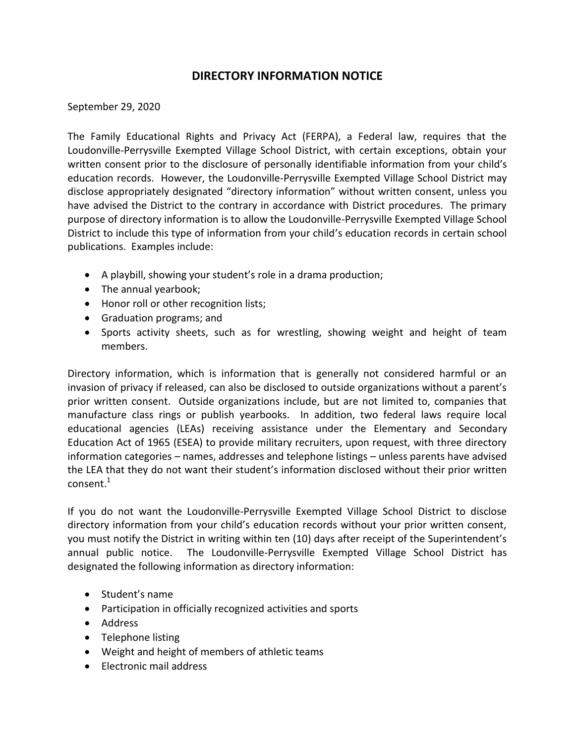## **DIRECTORY INFORMATION NOTICE**

## September 29, 2020

The Family Educational Rights and Privacy Act (FERPA), a Federal law, requires that the Loudonville-Perrysville Exempted Village School District, with certain exceptions, obtain your written consent prior to the disclosure of personally identifiable information from your child's education records. However, the Loudonville-Perrysville Exempted Village School District may disclose appropriately designated "directory information" without written consent, unless you have advised the District to the contrary in accordance with District procedures. The primary purpose of directory information is to allow the Loudonville-Perrysville Exempted Village School District to include this type of information from your child's education records in certain school publications. Examples include:

- A playbill, showing your student's role in a drama production;
- The annual yearbook;
- Honor roll or other recognition lists;
- Graduation programs; and
- Sports activity sheets, such as for wrestling, showing weight and height of team members.

Directory information, which is information that is generally not considered harmful or an invasion of privacy if released, can also be disclosed to outside organizations without a parent's prior written consent. Outside organizations include, but are not limited to, companies that manufacture class rings or publish yearbooks. In addition, two federal laws require local educational agencies (LEAs) receiving assistance under the Elementary and Secondary Education Act of 1965 (ESEA) to provide military recruiters, upon request, with three directory information categories – names, addresses and telephone listings – unless parents have advised the LEA that they do not want their student's information disclosed without their prior written  $\text{constant}$ <sup>1</sup>

If you do not want the Loudonville-Perrysville Exempted Village School District to disclose directory information from your child's education records without your prior written consent, you must notify the District in writing within ten (10) days after receipt of the Superintendent's annual public notice. The Loudonville-Perrysville Exempted Village School District has designated the following information as directory information:

- Student's name
- Participation in officially recognized activities and sports
- Address
- Telephone listing
- Weight and height of members of athletic teams
- Electronic mail address